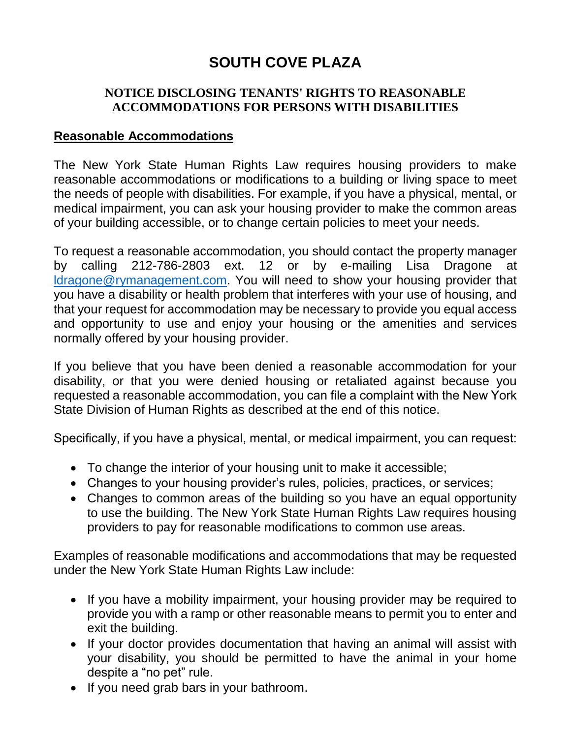# **SOUTH COVE PLAZA**

## **NOTICE DISCLOSING TENANTS' RIGHTS TO REASONABLE ACCOMMODATIONS FOR PERSONS WITH DISABILITIES**

### **Reasonable Accommodations**

The New York State Human Rights Law requires housing providers to make reasonable accommodations or modifications to a building or living space to meet the needs of people with disabilities. For example, if you have a physical, mental, or medical impairment, you can ask your housing provider to make the common areas of your building accessible, or to change certain policies to meet your needs.

To request a reasonable accommodation, you should contact the property manager by calling 212-786-2803 ext. 12 or by e-mailing Lisa Dragone at [ldragone@rymanagement.com.](mailto:ldragone@rymanagement.com) You will need to show your housing provider that you have a disability or health problem that interferes with your use of housing, and that your request for accommodation may be necessary to provide you equal access and opportunity to use and enjoy your housing or the amenities and services normally offered by your housing provider.

If you believe that you have been denied a reasonable accommodation for your disability, or that you were denied housing or retaliated against because you requested a reasonable accommodation, you can file a complaint with the New York State Division of Human Rights as described at the end of this notice.

Specifically, if you have a physical, mental, or medical impairment, you can request:

- To change the interior of your housing unit to make it accessible;
- Changes to your housing provider's rules, policies, practices, or services;
- Changes to common areas of the building so you have an equal opportunity to use the building. The New York State Human Rights Law requires housing providers to pay for reasonable modifications to common use areas.

Examples of reasonable modifications and accommodations that may be requested under the New York State Human Rights Law include:

- If you have a mobility impairment, your housing provider may be required to provide you with a ramp or other reasonable means to permit you to enter and exit the building.
- If your doctor provides documentation that having an animal will assist with your disability, you should be permitted to have the animal in your home despite a "no pet" rule.
- If you need grab bars in your bathroom.